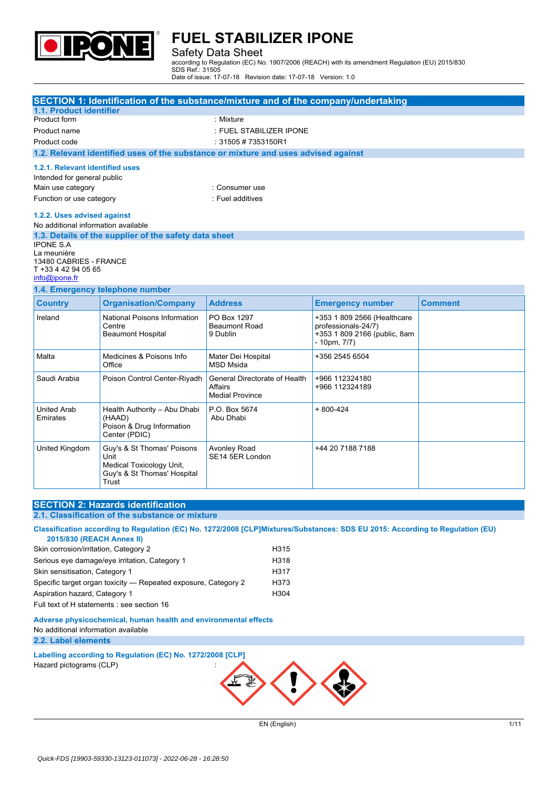

#### Safety Data Sheet

according to Regulation (EC) No. 1907/2006 (REACH) with its amendment Regulation (EU) 2015/830 SDS Ref.: 31505

Date of issue: 17-07-18 Revision date: 17-07-18 Version: 1.0

|                                       | SECTION 1: Identification of the substance/mixture and of the company/undertaking  |                                        |                                                   |                |
|---------------------------------------|------------------------------------------------------------------------------------|----------------------------------------|---------------------------------------------------|----------------|
| 1.1. Product identifier               |                                                                                    |                                        |                                                   |                |
| Product form                          |                                                                                    | : Mixture                              |                                                   |                |
| Product name                          |                                                                                    | : FUEL STABILIZER IPONE                |                                                   |                |
| Product code                          |                                                                                    | : 31505 # 7353150R1                    |                                                   |                |
|                                       | 1.2. Relevant identified uses of the substance or mixture and uses advised against |                                        |                                                   |                |
| 1.2.1. Relevant identified uses       |                                                                                    |                                        |                                                   |                |
| Intended for general public           |                                                                                    |                                        |                                                   |                |
| Main use category                     |                                                                                    | : Consumer use                         |                                                   |                |
| Function or use category              |                                                                                    | : Fuel additives                       |                                                   |                |
| 1.2.2. Uses advised against           |                                                                                    |                                        |                                                   |                |
| No additional information available   |                                                                                    |                                        |                                                   |                |
|                                       | 1.3. Details of the supplier of the safety data sheet                              |                                        |                                                   |                |
| <b>IPONE S.A</b>                      |                                                                                    |                                        |                                                   |                |
| La meunière<br>13480 CABRIES - FRANCE |                                                                                    |                                        |                                                   |                |
| T +33 4 42 94 05 65                   |                                                                                    |                                        |                                                   |                |
| info@ipone.fr                         |                                                                                    |                                        |                                                   |                |
|                                       | 1.4. Emergency telephone number                                                    |                                        |                                                   |                |
| <b>Country</b>                        | <b>Organisation/Company</b>                                                        | <b>Address</b>                         | <b>Emergency number</b>                           | <b>Comment</b> |
| Ireland                               | National Poisons Information                                                       | PO Box 1297                            | +353 1 809 2566 (Healthcare                       |                |
|                                       | Centre                                                                             | <b>Beaumont Road</b>                   | professionals-24/7)                               |                |
|                                       | <b>Beaumont Hospital</b>                                                           | 9 Dublin                               | +353 1 809 2166 (public, 8am<br>$-10$ pm, $7/7$ ) |                |
|                                       |                                                                                    |                                        |                                                   |                |
| Malta                                 | Medicines & Poisons Info<br>Office                                                 | Mater Dei Hospital<br><b>MSD Msida</b> | +356 2545 6504                                    |                |
| Saudi Arabia                          | Poison Control Center-Riyadh                                                       | General Directorate of Health          | +966 112324180                                    |                |
|                                       |                                                                                    | Affairs                                | +966 112324189                                    |                |
|                                       |                                                                                    | <b>Medial Province</b>                 |                                                   |                |
| <b>United Arab</b>                    | Health Authority - Abu Dhabi                                                       | P.O. Box 5674                          | $+800-424$                                        |                |
| Emirates                              | (HAAD)<br>Poison & Drug Information                                                | Abu Dhabi                              |                                                   |                |
|                                       | Center (PDIC)                                                                      |                                        |                                                   |                |
| <b>United Kingdom</b>                 | Guy's & St Thomas' Poisons                                                         | <b>Avonley Road</b>                    | +44 20 7188 7188                                  |                |
|                                       | Unit                                                                               | SE14 5ER London                        |                                                   |                |
|                                       | Medical Toxicology Unit,                                                           |                                        |                                                   |                |

### **SECTION 2: Hazards identification**

**Trust** 

**2.1. Classification of the substance or mixture**

Guy's & St Thomas' Hospital

Classification according to Regulation (EC) No. 1272/2008 [CLP]Mixtures/Substances: SDS EU 2015: According to Regulation (EU) **2015/830 (REACH Annex II)** Skin corrosion/irritation, Category 2 H315 Serious eye damage/eye irritation, Category 1 **H**318 Skin sensitisation, Category 1 H317 Specific target organ toxicity - Repeated exposure, Category 2 H373 Aspiration hazard, Category 1 H304

Full text of H statements : see section 16

**Adverse physicochemical, human health and environmental effects** No additional information available **2.2. Label elements**

**Labelling according to Regulation** (EC) No. 1272/2008 [CLP] Hazard pictograms (CLP) :



EN (English) 1/11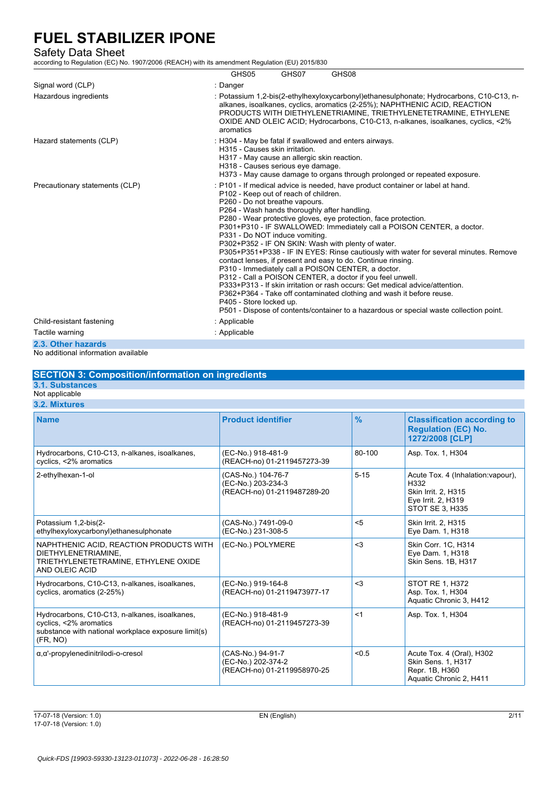### Safety Data Sheet

according to Regulation (EC) No. 1907/2006 (REACH) with its amendment Regulation (EU) 2015/830

|                                | GHS05                                                                                                                                                                                                                                                                                                                                                                                                                                                                                                                                                                                                                                                                                                                                                                                                                                                                                                                                                                                                 | GHS07 | GHS08 |
|--------------------------------|-------------------------------------------------------------------------------------------------------------------------------------------------------------------------------------------------------------------------------------------------------------------------------------------------------------------------------------------------------------------------------------------------------------------------------------------------------------------------------------------------------------------------------------------------------------------------------------------------------------------------------------------------------------------------------------------------------------------------------------------------------------------------------------------------------------------------------------------------------------------------------------------------------------------------------------------------------------------------------------------------------|-------|-------|
| Signal word (CLP)              | : Danger                                                                                                                                                                                                                                                                                                                                                                                                                                                                                                                                                                                                                                                                                                                                                                                                                                                                                                                                                                                              |       |       |
| Hazardous ingredients          | : Potassium 1.2-bis(2-ethylhexyloxycarbonyl)ethanesulphonate; Hydrocarbons, C10-C13, n-<br>alkanes, isoalkanes, cyclics, aromatics (2-25%); NAPHTHENIC ACID, REACTION<br>PRODUCTS WITH DIETHYLENETRIAMINE, TRIETHYLENETETRAMINE, ETHYLENE<br>OXIDE AND OLEIC ACID; Hydrocarbons, C10-C13, n-alkanes, isoalkanes, cyclics, <2%<br>aromatics                                                                                                                                                                                                                                                                                                                                                                                                                                                                                                                                                                                                                                                            |       |       |
| Hazard statements (CLP)        | : H304 - May be fatal if swallowed and enters airways.<br>H315 - Causes skin irritation.<br>H317 - May cause an allergic skin reaction.<br>H318 - Causes serious eye damage.<br>H373 - May cause damage to organs through prolonged or repeated exposure.                                                                                                                                                                                                                                                                                                                                                                                                                                                                                                                                                                                                                                                                                                                                             |       |       |
| Precautionary statements (CLP) | : P101 - If medical advice is needed, have product container or label at hand.<br>P102 - Keep out of reach of children.<br>P260 - Do not breathe vapours.<br>P264 - Wash hands thoroughly after handling.<br>P280 - Wear protective gloves, eye protection, face protection.<br>P301+P310 - IF SWALLOWED: Immediately call a POISON CENTER, a doctor.<br>P331 - Do NOT induce vomiting.<br>P302+P352 - IF ON SKIN: Wash with plenty of water.<br>P305+P351+P338 - IF IN EYES: Rinse cautiously with water for several minutes. Remove<br>contact lenses, if present and easy to do. Continue rinsing.<br>P310 - Immediately call a POISON CENTER, a doctor.<br>P312 - Call a POISON CENTER, a doctor if you feel unwell.<br>P333+P313 - If skin irritation or rash occurs: Get medical advice/attention.<br>P362+P364 - Take off contaminated clothing and wash it before reuse.<br>P405 - Store locked up.<br>P501 - Dispose of contents/container to a hazardous or special waste collection point. |       |       |
| Child-resistant fastening      | : Applicable                                                                                                                                                                                                                                                                                                                                                                                                                                                                                                                                                                                                                                                                                                                                                                                                                                                                                                                                                                                          |       |       |
| Tactile warning                | : Applicable                                                                                                                                                                                                                                                                                                                                                                                                                                                                                                                                                                                                                                                                                                                                                                                                                                                                                                                                                                                          |       |       |
| 2.3. Other hazards             |                                                                                                                                                                                                                                                                                                                                                                                                                                                                                                                                                                                                                                                                                                                                                                                                                                                                                                                                                                                                       |       |       |

No additional information available

### **SECTION 3: Composition/information on ingredients**

### **3.1. Substances**

Not applicable **3.2. Mixtures**

| <b>Name</b>                                                                                                                                | <b>Product identifier</b>                                               | $\frac{9}{6}$ | <b>Classification according to</b><br><b>Regulation (EC) No.</b><br>1272/2008 [CLP]                               |
|--------------------------------------------------------------------------------------------------------------------------------------------|-------------------------------------------------------------------------|---------------|-------------------------------------------------------------------------------------------------------------------|
| Hydrocarbons, C10-C13, n-alkanes, isoalkanes,<br>cyclics, <2% aromatics                                                                    | (EC-No.) 918-481-9<br>(REACH-no) 01-2119457273-39                       | 80-100        | Asp. Tox. 1, H304                                                                                                 |
| 2-ethylhexan-1-ol                                                                                                                          | (CAS-No.) 104-76-7<br>(EC-No.) 203-234-3<br>(REACH-no) 01-2119487289-20 | $5 - 15$      | Acute Tox. 4 (Inhalation: vapour),<br>H332<br>Skin Irrit. 2, H315<br>Eye Irrit. 2, H319<br><b>STOT SE 3, H335</b> |
| Potassium 1,2-bis(2-<br>ethylhexyloxycarbonyl)ethanesulphonate                                                                             | (CAS-No.) 7491-09-0<br>(EC-No.) 231-308-5                               | $5$           | <b>Skin Irrit. 2, H315</b><br>Eye Dam. 1, H318                                                                    |
| NAPHTHENIC ACID, REACTION PRODUCTS WITH<br>DIETHYLENETRIAMINE.<br>TRIETHYLENETETRAMINE, ETHYLENE OXIDE<br>AND OLEIC ACID                   | (EC-No.) POLYMERE                                                       | $3$           | Skin Corr. 1C, H314<br>Eye Dam. 1, H318<br>Skin Sens. 1B, H317                                                    |
| Hydrocarbons, C10-C13, n-alkanes, isoalkanes,<br>cyclics, aromatics (2-25%)                                                                | (EC-No.) 919-164-8<br>(REACH-no) 01-2119473977-17                       | $3$           | STOT RE 1, H372<br>Asp. Tox. 1, H304<br>Aquatic Chronic 3, H412                                                   |
| Hydrocarbons, C10-C13, n-alkanes, isoalkanes,<br>cyclics, <2% aromatics<br>substance with national workplace exposure limit(s)<br>(FR, NO) | (EC-No.) 918-481-9<br>(REACH-no) 01-2119457273-39                       | $<$ 1         | Asp. Tox. 1, H304                                                                                                 |
| $\alpha, \alpha'$ -propylenedinitrilodi-o-cresol                                                                                           | (CAS-No.) 94-91-7<br>(EC-No.) 202-374-2<br>(REACH-no) 01-2119958970-25  | < 0.5         | Acute Tox. 4 (Oral), H302<br>Skin Sens. 1, H317<br>Repr. 1B, H360<br>Aquatic Chronic 2, H411                      |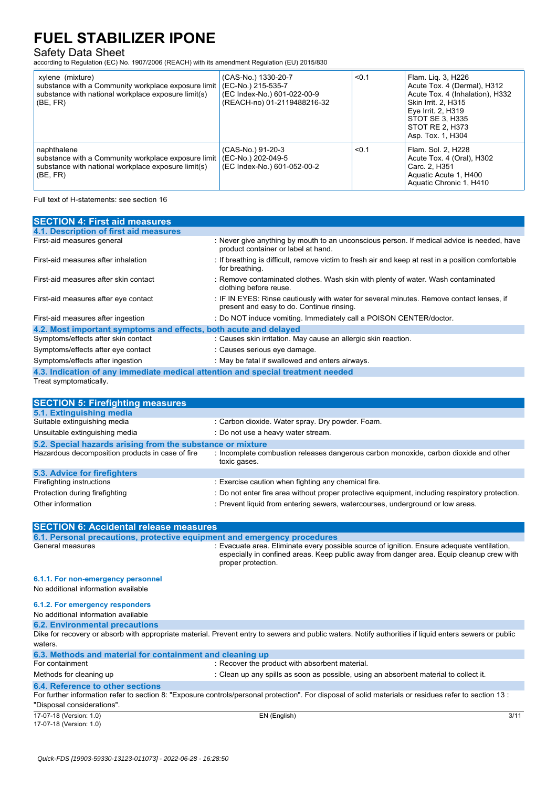Safety Data Sheet according to Regulation (EC) No. 1907/2006 (REACH) with its amendment Regulation (EU) 2015/830

| xylene (mixture)<br>substance with a Community workplace exposure limit<br>substance with national workplace exposure limit(s)<br>(BE, FR) | (CAS-No.) 1330-20-7<br>(EC-No.) 215-535-7<br>(EC Index-No.) 601-022-00-9<br>(REACH-no) 01-2119488216-32 | < 0.1 | Flam. Lig. 3, H226<br>Acute Tox. 4 (Dermal), H312<br>Acute Tox. 4 (Inhalation), H332<br>Skin Irrit. 2, H315<br>Eye Irrit. 2, H319<br>STOT SE 3, H335<br>STOT RE 2, H373<br>Asp. Tox. 1, H304 |
|--------------------------------------------------------------------------------------------------------------------------------------------|---------------------------------------------------------------------------------------------------------|-------|----------------------------------------------------------------------------------------------------------------------------------------------------------------------------------------------|
| naphthalene<br>substance with a Community workplace exposure limit<br>substance with national workplace exposure limit(s)<br>(BE, FR)      | (CAS-No.) 91-20-3<br>(EC-No.) 202-049-5<br>(EC Index-No.) 601-052-00-2                                  | < 0.1 | Flam. Sol. 2, H228<br>Acute Tox. 4 (Oral), H302<br>Carc. 2, H351<br>Aquatic Acute 1, H400<br>Aquatic Chronic 1, H410                                                                         |

Full text of H-statements: see section 16

| <b>SECTION 4: First aid measures</b>                                            |                                                                                                                                       |  |  |
|---------------------------------------------------------------------------------|---------------------------------------------------------------------------------------------------------------------------------------|--|--|
| 4.1. Description of first aid measures                                          |                                                                                                                                       |  |  |
| First-aid measures general                                                      | : Never give anything by mouth to an unconscious person. If medical advice is needed, have<br>product container or label at hand.     |  |  |
| First-aid measures after inhalation                                             | : If breathing is difficult, remove victim to fresh air and keep at rest in a position comfortable<br>for breathing.                  |  |  |
| First-aid measures after skin contact                                           | : Remove contaminated clothes. Wash skin with plenty of water. Wash contaminated<br>clothing before reuse.                            |  |  |
| First-aid measures after eye contact                                            | : IF IN EYES: Rinse cautiously with water for several minutes. Remove contact lenses, if<br>present and easy to do. Continue rinsing. |  |  |
| First-aid measures after ingestion                                              | : Do NOT induce vomiting. Immediately call a POISON CENTER/doctor.                                                                    |  |  |
| 4.2. Most important symptoms and effects, both acute and delayed                |                                                                                                                                       |  |  |
| Symptoms/effects after skin contact                                             | : Causes skin irritation. May cause an allergic skin reaction.                                                                        |  |  |
| Symptoms/effects after eye contact                                              | : Causes serious eye damage.                                                                                                          |  |  |
| Symptoms/effects after ingestion                                                | : May be fatal if swallowed and enters airways.                                                                                       |  |  |
| 4.3. Indication of any immediate medical attention and special treatment needed |                                                                                                                                       |  |  |
| Treat symptomatically.                                                          |                                                                                                                                       |  |  |

| <b>SECTION 5: Firefighting measures</b>                    |                                                                                                                                                                                   |  |  |  |
|------------------------------------------------------------|-----------------------------------------------------------------------------------------------------------------------------------------------------------------------------------|--|--|--|
| 5.1. Extinguishing media                                   |                                                                                                                                                                                   |  |  |  |
| Suitable extinguishing media                               | : Carbon dioxide. Water spray. Dry powder. Foam.                                                                                                                                  |  |  |  |
| Unsuitable extinguishing media                             | : Do not use a heavy water stream.                                                                                                                                                |  |  |  |
| 5.2. Special hazards arising from the substance or mixture |                                                                                                                                                                                   |  |  |  |
| Hazardous decomposition products in case of fire           | : Incomplete combustion releases dangerous carbon monoxide, carbon dioxide and other<br>toxic gases.                                                                              |  |  |  |
| 5.3. Advice for firefighters                               |                                                                                                                                                                                   |  |  |  |
| Firefighting instructions                                  | : Exercise caution when fighting any chemical fire.                                                                                                                               |  |  |  |
| Protection during firefighting<br>Other information        | : Do not enter fire area without proper protective equipment, including respiratory protection.<br>: Prevent liquid from entering sewers, watercourses, underground or low areas. |  |  |  |
|                                                            |                                                                                                                                                                                   |  |  |  |

| <b>SECTION 6: Accidental release measures</b>                            |                                                                                                                                                                                                              |      |
|--------------------------------------------------------------------------|--------------------------------------------------------------------------------------------------------------------------------------------------------------------------------------------------------------|------|
| 6.1. Personal precautions, protective equipment and emergency procedures |                                                                                                                                                                                                              |      |
| General measures                                                         | : Evacuate area. Eliminate every possible source of ignition. Ensure adequate ventilation,<br>especially in confined areas. Keep public away from danger area. Equip cleanup crew with<br>proper protection. |      |
| 6.1.1. For non-emergency personnel                                       |                                                                                                                                                                                                              |      |
| No additional information available                                      |                                                                                                                                                                                                              |      |
| 6.1.2. For emergency responders                                          |                                                                                                                                                                                                              |      |
| No additional information available                                      |                                                                                                                                                                                                              |      |
| <b>6.2. Environmental precautions</b>                                    |                                                                                                                                                                                                              |      |
| waters.                                                                  | Dike for recovery or absorb with appropriate material. Prevent entry to sewers and public waters. Notify authorities if liquid enters sewers or public                                                       |      |
| 6.3. Methods and material for containment and cleaning up                |                                                                                                                                                                                                              |      |
| For containment                                                          | : Recover the product with absorbent material.                                                                                                                                                               |      |
| Methods for cleaning up                                                  | : Clean up any spills as soon as possible, using an absorbent material to collect it.                                                                                                                        |      |
| 6.4. Reference to other sections                                         |                                                                                                                                                                                                              |      |
|                                                                          | For further information refer to section 8: "Exposure controls/personal protection". For disposal of solid materials or residues refer to section 13:                                                        |      |
| "Disposal considerations".                                               |                                                                                                                                                                                                              |      |
| 17-07-18 (Version: 1.0)                                                  | EN (English)                                                                                                                                                                                                 | 3/11 |

17-07-18 (Version: 1.0)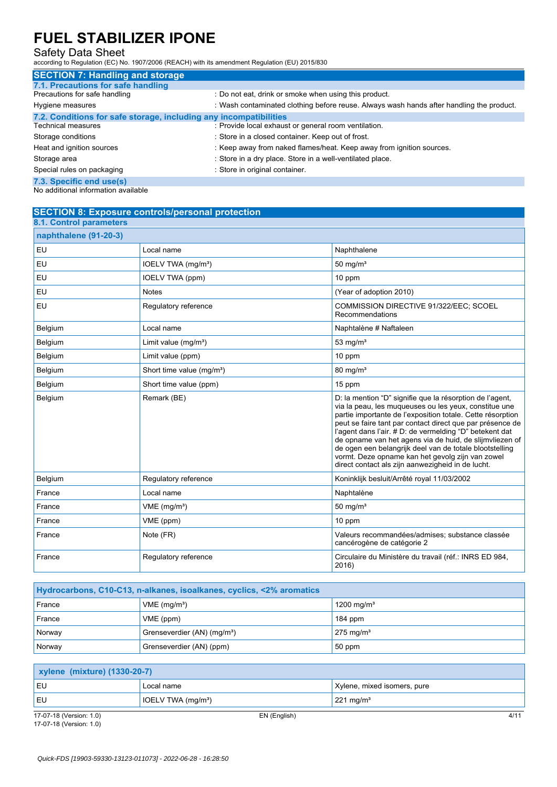Safety Data Sheet according to Regulation (EC) No. 1907/2006 (REACH) with its amendment Regulation (EU) 2015/830

| <b>SECTION 7: Handling and storage</b>                            |                                                                                          |
|-------------------------------------------------------------------|------------------------------------------------------------------------------------------|
| 7.1. Precautions for safe handling                                |                                                                                          |
| Precautions for safe handling                                     | : Do not eat, drink or smoke when using this product.                                    |
| Hygiene measures                                                  | : Wash contaminated clothing before reuse. Always wash hands after handling the product. |
| 7.2. Conditions for safe storage, including any incompatibilities |                                                                                          |
| Technical measures                                                | : Provide local exhaust or general room ventilation.                                     |
| Storage conditions                                                | : Store in a closed container. Keep out of frost.                                        |
| Heat and ignition sources                                         | : Keep away from naked flames/heat. Keep away from ignition sources.                     |
| Storage area                                                      | : Store in a dry place. Store in a well-ventilated place.                                |
| Special rules on packaging                                        | : Store in original container.                                                           |
| 7.3. Specific end use(s)                                          |                                                                                          |

No additional information available

## **SECTION 8: Exposure controls/personal protection**

| 8.1. Control parameters |                                       |                                                                                                                                                                                                                                                                                                                                                                                                                                                                                                                                        |
|-------------------------|---------------------------------------|----------------------------------------------------------------------------------------------------------------------------------------------------------------------------------------------------------------------------------------------------------------------------------------------------------------------------------------------------------------------------------------------------------------------------------------------------------------------------------------------------------------------------------------|
| naphthalene (91-20-3)   |                                       |                                                                                                                                                                                                                                                                                                                                                                                                                                                                                                                                        |
| <b>EU</b>               | Local name                            | Naphthalene                                                                                                                                                                                                                                                                                                                                                                                                                                                                                                                            |
| EU                      | IOELV TWA (mg/m <sup>3</sup> )        | $50 \text{ mg/m}^3$                                                                                                                                                                                                                                                                                                                                                                                                                                                                                                                    |
| EU                      | IOELV TWA (ppm)                       | 10 ppm                                                                                                                                                                                                                                                                                                                                                                                                                                                                                                                                 |
| EU                      | <b>Notes</b>                          | (Year of adoption 2010)                                                                                                                                                                                                                                                                                                                                                                                                                                                                                                                |
| <b>EU</b>               | Regulatory reference                  | COMMISSION DIRECTIVE 91/322/EEC; SCOEL<br>Recommendations                                                                                                                                                                                                                                                                                                                                                                                                                                                                              |
| Belgium                 | Local name                            | Naphtalène # Naftaleen                                                                                                                                                                                                                                                                                                                                                                                                                                                                                                                 |
| Belgium                 | Limit value $(mq/m3)$                 | $53 \text{ mg/m}^3$                                                                                                                                                                                                                                                                                                                                                                                                                                                                                                                    |
| Belgium                 | Limit value (ppm)                     | 10 ppm                                                                                                                                                                                                                                                                                                                                                                                                                                                                                                                                 |
| Belgium                 | Short time value (mg/m <sup>3</sup> ) | $80 \text{ mg/m}^3$                                                                                                                                                                                                                                                                                                                                                                                                                                                                                                                    |
| Belgium                 | Short time value (ppm)                | 15 ppm                                                                                                                                                                                                                                                                                                                                                                                                                                                                                                                                 |
| Belgium                 | Remark (BE)                           | D: la mention "D" signifie que la résorption de l'agent,<br>via la peau, les muqueuses ou les yeux, constitue une<br>partie importante de l'exposition totale. Cette résorption<br>peut se faire tant par contact direct que par présence de<br>l'agent dans l'air. # D: de vermelding "D" betekent dat<br>de opname van het agens via de huid, de slijmvliezen of<br>de ogen een belangrijk deel van de totale blootstelling<br>vormt. Deze opname kan het gevolg zijn van zowel<br>direct contact als zijn aanwezigheid in de lucht. |
| Belgium                 | Regulatory reference                  | Koninklijk besluit/Arrêté royal 11/03/2002                                                                                                                                                                                                                                                                                                                                                                                                                                                                                             |
| France                  | Local name                            | Naphtalène                                                                                                                                                                                                                                                                                                                                                                                                                                                                                                                             |
| France                  | VME (mg/m <sup>3</sup> )              | $50 \text{ mg/m}^3$                                                                                                                                                                                                                                                                                                                                                                                                                                                                                                                    |
| France                  | VME (ppm)                             | 10 ppm                                                                                                                                                                                                                                                                                                                                                                                                                                                                                                                                 |
| France                  | Note (FR)                             | Valeurs recommandées/admises; substance classée<br>cancérogène de catégorie 2                                                                                                                                                                                                                                                                                                                                                                                                                                                          |
| France                  | Regulatory reference                  | Circulaire du Ministère du travail (réf.: INRS ED 984,<br>2016)                                                                                                                                                                                                                                                                                                                                                                                                                                                                        |

| Hydrocarbons, C10-C13, n-alkanes, isoalkanes, cyclics, <2% aromatics |                                         |                        |  |
|----------------------------------------------------------------------|-----------------------------------------|------------------------|--|
| France                                                               | $VME$ (mg/m <sup>3</sup> )              | 1200 mg/m <sup>3</sup> |  |
| <b>France</b>                                                        | VME (ppm)                               | 184 ppm                |  |
| Norway                                                               | Grenseverdier (AN) (mg/m <sup>3</sup> ) | $275 \text{ mg/m}^3$   |  |
| <b>Norway</b>                                                        | Grenseverdier (AN) (ppm)                | 50 ppm                 |  |

| <b>xylene (mixture) (1330-20-7)</b> |                                |                                |  |
|-------------------------------------|--------------------------------|--------------------------------|--|
| l EU                                | Local name                     | Xylene, mixed isomers, pure    |  |
| l EU                                | IOELV TWA (mg/m <sup>3</sup> ) | $\sqrt{221}$ mg/m <sup>3</sup> |  |

17-07-18 (Version: 1.0) EN (English) 4/11 17-07-18 (Version: 1.0)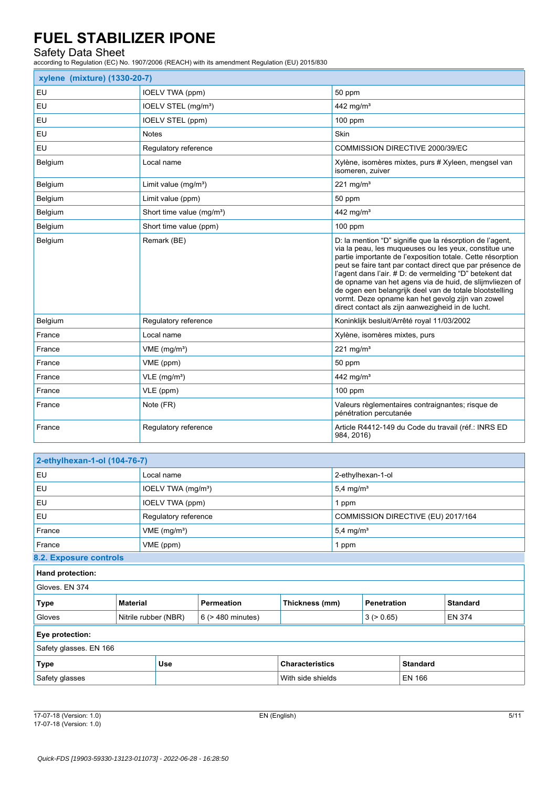Safety Data Sheet according to Regulation (EC) No. 1907/2006 (REACH) with its amendment Regulation (EU) 2015/830

| xylene (mixture) (1330-20-7) |                                       |                                                                                                                                                                                                                                                                                                                                                                                                                                                                                                                                        |  |  |
|------------------------------|---------------------------------------|----------------------------------------------------------------------------------------------------------------------------------------------------------------------------------------------------------------------------------------------------------------------------------------------------------------------------------------------------------------------------------------------------------------------------------------------------------------------------------------------------------------------------------------|--|--|
| EU                           | IOELV TWA (ppm)                       | 50 ppm                                                                                                                                                                                                                                                                                                                                                                                                                                                                                                                                 |  |  |
| EU                           | IOELV STEL (mg/m <sup>3</sup> )       | 442 mg/m <sup>3</sup>                                                                                                                                                                                                                                                                                                                                                                                                                                                                                                                  |  |  |
| EU                           | IOELV STEL (ppm)                      | $100$ ppm                                                                                                                                                                                                                                                                                                                                                                                                                                                                                                                              |  |  |
| <b>EU</b>                    | <b>Notes</b>                          | Skin                                                                                                                                                                                                                                                                                                                                                                                                                                                                                                                                   |  |  |
| EU                           | Regulatory reference                  | COMMISSION DIRECTIVE 2000/39/EC                                                                                                                                                                                                                                                                                                                                                                                                                                                                                                        |  |  |
| Belgium                      | Local name                            | Xylène, isomères mixtes, purs # Xyleen, mengsel van<br>isomeren, zuiver                                                                                                                                                                                                                                                                                                                                                                                                                                                                |  |  |
| Belgium                      | Limit value $(mg/m3)$                 | $221 \text{ mg/m}^3$                                                                                                                                                                                                                                                                                                                                                                                                                                                                                                                   |  |  |
| Belgium                      | Limit value (ppm)                     | 50 ppm                                                                                                                                                                                                                                                                                                                                                                                                                                                                                                                                 |  |  |
| Belgium                      | Short time value (mg/m <sup>3</sup> ) | 442 mg/m <sup>3</sup>                                                                                                                                                                                                                                                                                                                                                                                                                                                                                                                  |  |  |
| Belgium                      | Short time value (ppm)                | $100$ ppm                                                                                                                                                                                                                                                                                                                                                                                                                                                                                                                              |  |  |
| Belgium                      | Remark (BE)                           | D: la mention "D" signifie que la résorption de l'agent,<br>via la peau, les muqueuses ou les yeux, constitue une<br>partie importante de l'exposition totale. Cette résorption<br>peut se faire tant par contact direct que par présence de<br>l'agent dans l'air. # D: de vermelding "D" betekent dat<br>de opname van het agens via de huid, de slijmvliezen of<br>de ogen een belangrijk deel van de totale blootstelling<br>vormt. Deze opname kan het gevolg zijn van zowel<br>direct contact als zijn aanwezigheid in de lucht. |  |  |
| Belgium                      | Regulatory reference                  | Koninklijk besluit/Arrêté royal 11/03/2002                                                                                                                                                                                                                                                                                                                                                                                                                                                                                             |  |  |
| France                       | Local name                            | Xylène, isomères mixtes, purs                                                                                                                                                                                                                                                                                                                                                                                                                                                                                                          |  |  |
| France                       | VME (mg/m <sup>3</sup> )              | 221 mg/m $3$                                                                                                                                                                                                                                                                                                                                                                                                                                                                                                                           |  |  |
| France                       | VME (ppm)                             | 50 ppm                                                                                                                                                                                                                                                                                                                                                                                                                                                                                                                                 |  |  |
| France                       | $VLE$ (mg/m <sup>3</sup> )            | 442 mg/m <sup>3</sup>                                                                                                                                                                                                                                                                                                                                                                                                                                                                                                                  |  |  |
| France                       | VLE (ppm)                             | $100$ ppm                                                                                                                                                                                                                                                                                                                                                                                                                                                                                                                              |  |  |
| France                       | Note (FR)                             | Valeurs règlementaires contraignantes; risque de<br>pénétration percutanée                                                                                                                                                                                                                                                                                                                                                                                                                                                             |  |  |
| France                       | Regulatory reference                  | Article R4412-149 du Code du travail (réf.: INRS ED<br>984, 2016)                                                                                                                                                                                                                                                                                                                                                                                                                                                                      |  |  |

| 2-ethylhexan-1-ol (104-76-7) |                      |                                |                        |                        |                                    |                    |                 |                 |
|------------------------------|----------------------|--------------------------------|------------------------|------------------------|------------------------------------|--------------------|-----------------|-----------------|
| EU                           |                      | Local name                     |                        |                        | 2-ethylhexan-1-ol                  |                    |                 |                 |
| EU                           |                      | IOELV TWA (mg/m <sup>3</sup> ) |                        |                        | $5,4$ mg/m <sup>3</sup>            |                    |                 |                 |
| EU                           |                      | IOELV TWA (ppm)                |                        |                        | 1 ppm                              |                    |                 |                 |
| EU                           |                      | Regulatory reference           |                        |                        | COMMISSION DIRECTIVE (EU) 2017/164 |                    |                 |                 |
| France                       |                      | VME (mg/m <sup>3</sup> )       |                        |                        | $5,4$ mg/m <sup>3</sup>            |                    |                 |                 |
| France                       |                      | VME (ppm)                      |                        | 1 ppm                  |                                    |                    |                 |                 |
| 8.2. Exposure controls       |                      |                                |                        |                        |                                    |                    |                 |                 |
| Hand protection:             |                      |                                |                        |                        |                                    |                    |                 |                 |
| Gloves, EN 374               |                      |                                |                        |                        |                                    |                    |                 |                 |
| <b>Type</b>                  | <b>Material</b>      |                                | <b>Permeation</b>      | Thickness (mm)         |                                    | <b>Penetration</b> |                 | <b>Standard</b> |
| Gloves                       | Nitrile rubber (NBR) |                                | $6$ ( $>$ 480 minutes) |                        |                                    | 3 (> 0.65)         |                 | <b>EN 374</b>   |
| Eye protection:              |                      |                                |                        |                        |                                    |                    |                 |                 |
| Safety glasses. EN 166       |                      |                                |                        |                        |                                    |                    |                 |                 |
| <b>Type</b>                  | <b>Use</b>           |                                |                        | <b>Characteristics</b> |                                    |                    | <b>Standard</b> |                 |
| Safety glasses               |                      |                                | With side shields      |                        | <b>EN 166</b>                      |                    |                 |                 |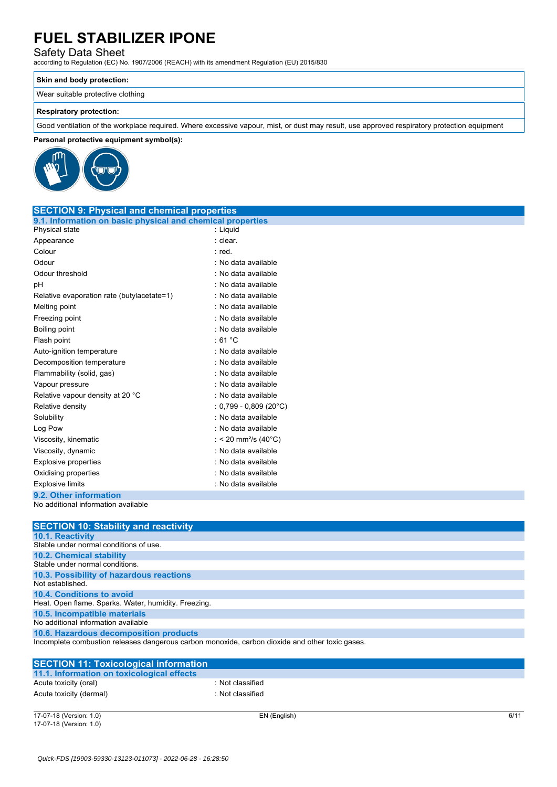### Safety Data Sheet

according to Regulation (EC) No. 1907/2006 (REACH) with its amendment Regulation (EU) 2015/830

### **Skin and body protection:**

Wear suitable protective clothing

### **Respiratory protection:**

Good ventilation of the workplace required. Where excessive vapour, mist, or dust may result, use approved respiratory protection equipment

### **Personal protective equipment symbol(s):**



| <b>SECTION 9: Physical and chemical properties</b>         |                                  |
|------------------------------------------------------------|----------------------------------|
| 9.1. Information on basic physical and chemical properties |                                  |
| Physical state                                             | : Liquid                         |
| Appearance                                                 | : clear.                         |
| Colour                                                     | : red.                           |
| Odour                                                      | : No data available              |
| Odour threshold                                            | : No data available              |
| рH                                                         | : No data available              |
| Relative evaporation rate (butylacetate=1)                 | : No data available              |
| Melting point                                              | : No data available              |
| Freezing point                                             | : No data available              |
| Boiling point                                              | : No data available              |
| Flash point                                                | : 61 $^{\circ}$ C                |
| Auto-ignition temperature                                  | : No data available              |
| Decomposition temperature                                  | : No data available              |
| Flammability (solid, gas)                                  | : No data available              |
| Vapour pressure                                            | : No data available              |
| Relative vapour density at 20 °C                           | : No data available              |
| Relative density                                           | : $0,799 - 0,809$ (20°C)         |
| Solubility                                                 | : No data available              |
| Log Pow                                                    | : No data available              |
| Viscosity, kinematic                                       | : < 20 mm <sup>2</sup> /s (40°C) |
| Viscosity, dynamic                                         | · No data available              |
| Explosive properties                                       | : No data available              |
| Oxidising properties                                       | : No data available              |
| <b>Explosive limits</b>                                    | : No data available              |
|                                                            |                                  |

#### **9.2. Other information** No additional information available

| <b>SECTION 10: Stability and reactivity</b>                                                     |
|-------------------------------------------------------------------------------------------------|
| <b>10.1. Reactivity</b>                                                                         |
| Stable under normal conditions of use.                                                          |
| <b>10.2. Chemical stability</b>                                                                 |
| Stable under normal conditions.                                                                 |
| 10.3. Possibility of hazardous reactions                                                        |
| Not established.                                                                                |
| 10.4. Conditions to avoid                                                                       |
| Heat. Open flame. Sparks. Water, humidity. Freezing.                                            |
| 10.5. Incompatible materials                                                                    |
| No additional information available                                                             |
| 10.6. Hazardous decomposition products                                                          |
| Incomplete combustion releases dangerous carbon monoxide, carbon dioxide and other toxic gases. |

| <b>SECTION 11: Toxicological information</b> |                  |
|----------------------------------------------|------------------|
| 11.1. Information on toxicological effects   |                  |
| Acute toxicity (oral)                        | : Not classified |
| Acute toxicity (dermal)                      | : Not classified |
|                                              |                  |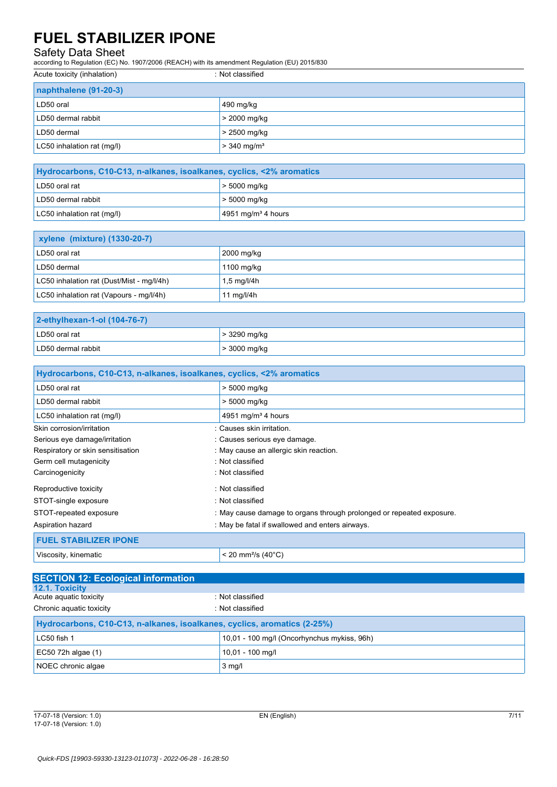Safety Data Sheet according to Regulation (EC) No. 1907/2006 (REACH) with its amendment Regulation (EU) 2015/830

| Acute toxicity (inhalation) | : Not classified          |
|-----------------------------|---------------------------|
| naphthalene (91-20-3)       |                           |
| LD50 oral                   | 490 mg/kg                 |
| LD50 dermal rabbit          | > 2000 mg/kg              |
| LD50 dermal                 | > 2500 mg/kg              |
| LC50 inhalation rat (mg/l)  | $> 340$ mg/m <sup>3</sup> |

| Hydrocarbons, C10-C13, n-alkanes, isoalkanes, cyclics, <2% aromatics |                                |  |
|----------------------------------------------------------------------|--------------------------------|--|
| LD50 oral rat                                                        | $>$ 5000 mg/kg                 |  |
| LD50 dermal rabbit                                                   | $>$ 5000 mg/kg                 |  |
| LC50 inhalation rat (mg/l)                                           | 4951 mg/m <sup>3</sup> 4 hours |  |

| <b>xylene (mixture) (1330-20-7)</b>       |                                   |  |
|-------------------------------------------|-----------------------------------|--|
| LD50 oral rat                             | 2000 mg/kg                        |  |
| LD50 dermal                               | 1100 mg/kg                        |  |
| LC50 inhalation rat (Dust/Mist - mg/l/4h) | $1,5 \,\mathrm{mq}/\mathrm{l}/4h$ |  |
| LC50 inhalation rat (Vapours - mg/l/4h)   | 11 mg/l/4h                        |  |

| 2-ethylhexan-1-ol (104-76-7) |                |  |
|------------------------------|----------------|--|
| LD50 oral rat                | $>$ 3290 mg/kg |  |
| LD50 dermal rabbit           | $>$ 3000 mg/kg |  |

| Hydrocarbons, C10-C13, n-alkanes, isoalkanes, cyclics, <2% aromatics |                                                                      |  |  |
|----------------------------------------------------------------------|----------------------------------------------------------------------|--|--|
| LD50 oral rat                                                        | > 5000 mg/kg                                                         |  |  |
| LD50 dermal rabbit                                                   | > 5000 mg/kg                                                         |  |  |
| LC50 inhalation rat (mg/l)                                           | 4951 mg/m <sup>3</sup> 4 hours                                       |  |  |
| Skin corrosion/irritation                                            | : Causes skin irritation.                                            |  |  |
| Serious eye damage/irritation                                        | : Causes serious eye damage.                                         |  |  |
| Respiratory or skin sensitisation                                    | : May cause an allergic skin reaction.                               |  |  |
| Germ cell mutagenicity                                               | : Not classified                                                     |  |  |
| Carcinogenicity                                                      | : Not classified                                                     |  |  |
| Reproductive toxicity                                                | : Not classified                                                     |  |  |
| STOT-single exposure                                                 | : Not classified                                                     |  |  |
| STOT-repeated exposure                                               | : May cause damage to organs through prolonged or repeated exposure. |  |  |
| Aspiration hazard                                                    | : May be fatal if swallowed and enters airways.                      |  |  |
| <b>FUEL STABILIZER IPONE</b>                                         |                                                                      |  |  |
| Viscosity, kinematic                                                 | $<$ 20 mm <sup>2</sup> /s (40 $^{\circ}$ C)                          |  |  |

| <b>SECTION 12: Ecological information</b>                                |                                             |  |  |
|--------------------------------------------------------------------------|---------------------------------------------|--|--|
| <b>12.1. Toxicity</b>                                                    |                                             |  |  |
| Acute aguatic toxicity                                                   | : Not classified                            |  |  |
| Chronic aquatic toxicity                                                 | : Not classified                            |  |  |
| Hydrocarbons, C10-C13, n-alkanes, isoalkanes, cyclics, aromatics (2-25%) |                                             |  |  |
| LC50 fish 1                                                              | 10,01 - 100 mg/l (Oncorhynchus mykiss, 96h) |  |  |
| $EC50$ 72h algae (1)                                                     | 10,01 - 100 mg/l                            |  |  |
| NOEC chronic algae                                                       | $3$ mg/l                                    |  |  |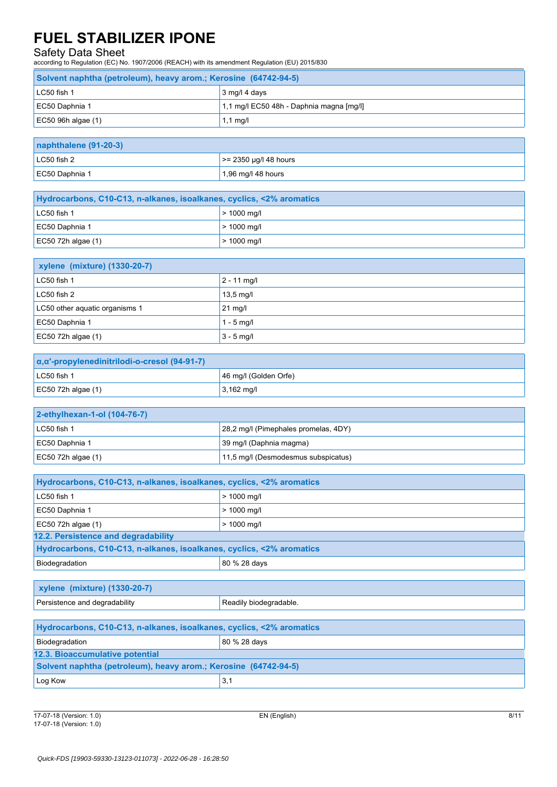Safety Data Sheet according to Regulation (EC) No. 1907/2006 (REACH) with its amendment Regulation (EU) 2015/830

| Solvent naphtha (petroleum), heavy arom.; Kerosine (64742-94-5) |                                          |  |
|-----------------------------------------------------------------|------------------------------------------|--|
| $IC50$ fish 1                                                   | $3 \text{ mg}/14 \text{ days}$           |  |
| EC50 Daphnia 1                                                  | 1,1 mg/l EC50 48h - Daphnia magna [mg/l] |  |
| $EC50$ 96h algae $(1)$                                          | $1,1$ mg/l                               |  |

| naphthalene (91-20-3) |                          |  |
|-----------------------|--------------------------|--|
| $LC50$ fish 2         | $\ge$ 2350 µg/l 48 hours |  |
| EC50 Daphnia 1        | $1,96$ mg/l 48 hours     |  |

| Hydrocarbons, C10-C13, n-alkanes, isoalkanes, cyclics, <2% aromatics |                          |  |
|----------------------------------------------------------------------|--------------------------|--|
| LC50 fish 1                                                          | $> 1000 \,\mathrm{mq/l}$ |  |
| EC50 Daphnia 1                                                       | $> 1000 \,\mathrm{mq/l}$ |  |
| EC50 72h algae $(1)$                                                 | $> 1000 \,\mathrm{mq/l}$ |  |

| <b>xylene (mixture) (1330-20-7)</b> |                     |  |
|-------------------------------------|---------------------|--|
| LC50 fish 1                         | $2 - 11$ mg/l       |  |
| LC50 fish 2                         | $13,5 \text{ mg/l}$ |  |
| LC50 other aquatic organisms 1      | $21$ mg/l           |  |
| EC50 Daphnia 1                      | $1 - 5$ mg/l        |  |
| EC50 72h algae $(1)$                | $3 - 5$ mg/l        |  |

| α, α'-propylenedinitrilodi-o-cresol (94-91-7) |                       |  |
|-----------------------------------------------|-----------------------|--|
| $LC50$ fish 1                                 | 46 mg/l (Golden Orfe) |  |
| EC50 72h algae $(1)$                          | $3,162 \text{ mg/l}$  |  |

| 2-ethylhexan-1-ol (104-76-7) |                                      |  |
|------------------------------|--------------------------------------|--|
| $LC50$ fish 1                | 28.2 mg/l (Pimephales promelas, 4DY) |  |
| EC50 Daphnia 1               | 39 mg/l (Daphnia magma)              |  |
| $EC50$ 72h algae (1)         | 11,5 mg/l (Desmodesmus subspicatus)  |  |

| Hydrocarbons, C10-C13, n-alkanes, isoalkanes, cyclics, <2% aromatics |               |  |
|----------------------------------------------------------------------|---------------|--|
| LC50 fish 1                                                          | $> 1000$ mg/l |  |
| EC50 Daphnia 1                                                       | $> 1000$ mg/l |  |
| EC50 72h algae $(1)$                                                 | $> 1000$ mg/l |  |
| 12.2. Persistence and degradability                                  |               |  |
| Hydrocarbons, C10-C13, n-alkanes, isoalkanes, cyclics, <2% aromatics |               |  |
| 80 % 28 days<br>Biodegradation                                       |               |  |

| <b>xylene (mixture) (1330-20-7)</b> |                        |
|-------------------------------------|------------------------|
| Persistence and degradability       | Readily biodegradable. |

| Hydrocarbons, C10-C13, n-alkanes, isoalkanes, cyclics, <2% aromatics |              |  |
|----------------------------------------------------------------------|--------------|--|
| Biodegradation                                                       | 80 % 28 days |  |
| 12.3. Bioaccumulative potential                                      |              |  |
| Solvent naphtha (petroleum), heavy arom.; Kerosine (64742-94-5)      |              |  |
| Log Kow<br>3,1                                                       |              |  |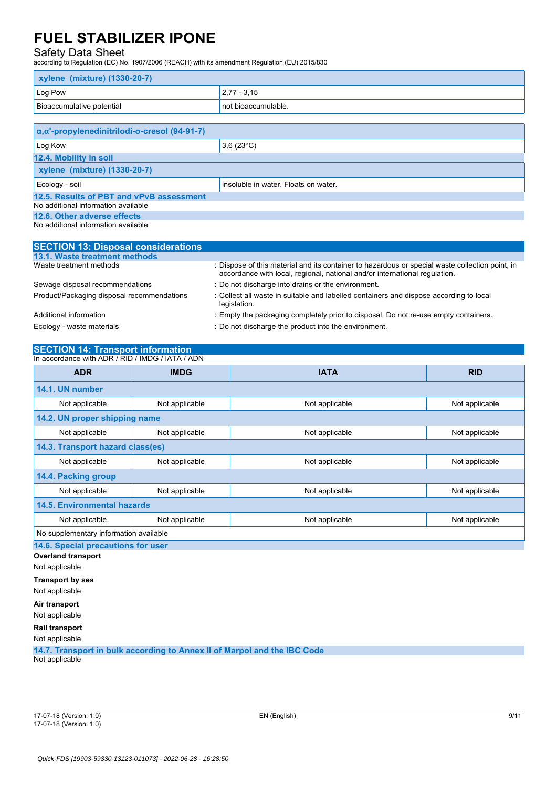### Safety Data Sheet

according to Regulation (EC) No. 1907/2006 (REACH) with its amendment Regulation (EU) 2015/830

| xylene (mixture) (1330-20-7)                                  |                                      |  |
|---------------------------------------------------------------|--------------------------------------|--|
| Log Pow                                                       | $2,77 - 3,15$                        |  |
| Bioaccumulative potential                                     | not bioaccumulable.                  |  |
|                                                               |                                      |  |
| $\alpha$ , $\alpha$ '-propylenedinitrilodi-o-cresol (94-91-7) |                                      |  |
| Log Kow                                                       | $3,6(23^{\circ}C)$                   |  |
| 12.4. Mobility in soil                                        |                                      |  |
| xylene (mixture) (1330-20-7)                                  |                                      |  |
| Ecology - soil                                                | insoluble in water. Floats on water. |  |
| 12.5. Results of PBT and vPvB assessment                      |                                      |  |
| No additional information available                           |                                      |  |
| 12.6. Other adverse effects                                   |                                      |  |

No additional information available

| <b>SECTION 13: Disposal considerations</b> |                                                                                                                                                                               |
|--------------------------------------------|-------------------------------------------------------------------------------------------------------------------------------------------------------------------------------|
| 13.1. Waste treatment methods              |                                                                                                                                                                               |
| Waste treatment methods                    | : Dispose of this material and its container to hazardous or special waste collection point, in<br>accordance with local, regional, national and/or international regulation. |
| Sewage disposal recommendations            | : Do not discharge into drains or the environment.                                                                                                                            |
| Product/Packaging disposal recommendations | : Collect all waste in suitable and labelled containers and dispose according to local<br>legislation.                                                                        |
| Additional information                     | : Empty the packaging completely prior to disposal. Do not re-use empty containers.                                                                                           |
| Ecology - waste materials                  | : Do not discharge the product into the environment.                                                                                                                          |

## **SECTION 14: Transport information**

| In accordance with ADR / RID / IMDG / IATA / ADN |                               |                |                |
|--------------------------------------------------|-------------------------------|----------------|----------------|
| <b>ADR</b>                                       | <b>IMDG</b>                   | <b>IATA</b>    | <b>RID</b>     |
| 14.1. UN number                                  |                               |                |                |
| Not applicable                                   | Not applicable                | Not applicable | Not applicable |
|                                                  | 14.2. UN proper shipping name |                |                |
| Not applicable                                   | Not applicable                | Not applicable | Not applicable |
| 14.3. Transport hazard class(es)                 |                               |                |                |
| Not applicable                                   | Not applicable                | Not applicable | Not applicable |
| 14.4. Packing group                              |                               |                |                |
| Not applicable                                   | Not applicable                | Not applicable | Not applicable |
| <b>14.5. Environmental hazards</b>               |                               |                |                |
| Not applicable                                   | Not applicable                | Not applicable | Not applicable |
| No supplementary information available           |                               |                |                |
| 14.6. Special precautions for user               |                               |                |                |
| <b>Overland transport</b>                        |                               |                |                |
| Not applicable                                   |                               |                |                |

**Transport by sea**

Not applicable

**Air transport** Not applicable

**Rail transport**

Not applicable

**14.7. Transport in bulk according to Annex II of Marpol and the IBC Code** Not applicable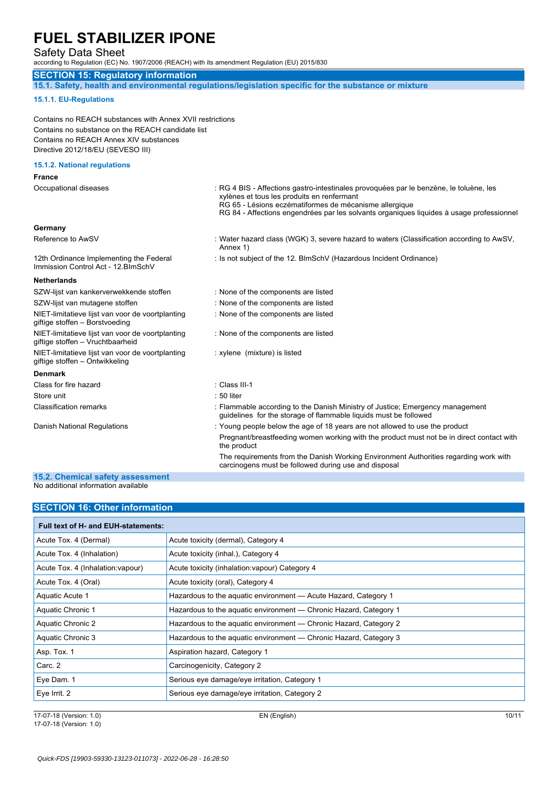Safety Data Sheet

according to Regulation (EC) No. 1907/2006 (REACH) with its amendment Regulation (EU) 2015/830

#### **SECTION 15: Regulatory information**

**15.1. Safety, health and environmental regulations/legislation specific for the substance or mixture**

#### **15.1.1. EU-Regulations**

Contains no REACH substances with Annex XVII restrictions Contains no substance on the REACH candidate list Contains no REACH Annex XIV substances Directive 2012/18/EU (SEVESO III)

### **15.1.2. National regulations**

| <b>France</b>                                                                        |                                                                                                                                                                                                                                                                                                                                        |
|--------------------------------------------------------------------------------------|----------------------------------------------------------------------------------------------------------------------------------------------------------------------------------------------------------------------------------------------------------------------------------------------------------------------------------------|
| Occupational diseases                                                                | : RG 4 BIS - Affections gastro-intestinales provoquées par le benzène, le toluène, les<br>xylènes et tous les produits en renfermant<br>RG 65 - Lésions eczématiformes de mécanisme allergique<br>RG 84 - Affections engendrées par les solvants organiques liquides à usage professionnel                                             |
| Germany                                                                              |                                                                                                                                                                                                                                                                                                                                        |
| Reference to AwSV                                                                    | : Water hazard class (WGK) 3, severe hazard to waters (Classification according to AwSV,<br>Annex 1)                                                                                                                                                                                                                                   |
| 12th Ordinance Implementing the Federal<br>Immission Control Act - 12. BlmSchV       | : Is not subject of the 12. BlmSchV (Hazardous Incident Ordinance)                                                                                                                                                                                                                                                                     |
| <b>Netherlands</b>                                                                   |                                                                                                                                                                                                                                                                                                                                        |
| SZW-lijst van kankerverwekkende stoffen                                              | : None of the components are listed                                                                                                                                                                                                                                                                                                    |
| SZW-lijst van mutagene stoffen                                                       | : None of the components are listed                                                                                                                                                                                                                                                                                                    |
| NIET-limitatieve lijst van voor de voortplanting<br>giftige stoffen - Borstvoeding   | : None of the components are listed                                                                                                                                                                                                                                                                                                    |
| NIET-limitatieve lijst van voor de voortplanting<br>giftige stoffen - Vruchtbaarheid | : None of the components are listed                                                                                                                                                                                                                                                                                                    |
| NIET-limitatieve lijst van voor de voortplanting<br>giftige stoffen - Ontwikkeling   | : xylene (mixture) is listed                                                                                                                                                                                                                                                                                                           |
| <b>Denmark</b>                                                                       |                                                                                                                                                                                                                                                                                                                                        |
| Class for fire hazard                                                                | : Class III-1                                                                                                                                                                                                                                                                                                                          |
| Store unit                                                                           | $: 50$ liter                                                                                                                                                                                                                                                                                                                           |
| <b>Classification remarks</b>                                                        | : Flammable according to the Danish Ministry of Justice; Emergency management<br>guidelines for the storage of flammable liquids must be followed                                                                                                                                                                                      |
| Danish National Regulations                                                          | : Young people below the age of 18 years are not allowed to use the product<br>Pregnant/breastfeeding women working with the product must not be in direct contact with<br>the product<br>The requirements from the Danish Working Environment Authorities regarding work with<br>carcinogens must be followed during use and disposal |
|                                                                                      |                                                                                                                                                                                                                                                                                                                                        |

#### **15.2. Chemical safety assessment** No additional information available

| <b>SECTION 16: Other information</b> |                                                                   |  |
|--------------------------------------|-------------------------------------------------------------------|--|
| Full text of H- and EUH-statements:  |                                                                   |  |
| Acute Tox. 4 (Dermal)                | Acute toxicity (dermal), Category 4                               |  |
| Acute Tox. 4 (Inhalation)            | Acute toxicity (inhal.), Category 4                               |  |
| Acute Tox. 4 (Inhalation: vapour)    | Acute toxicity (inhalation: vapour) Category 4                    |  |
| Acute Tox. 4 (Oral)                  | Acute toxicity (oral), Category 4                                 |  |
| Aquatic Acute 1                      | Hazardous to the aquatic environment - Acute Hazard, Category 1   |  |
| Aquatic Chronic 1                    | Hazardous to the aquatic environment - Chronic Hazard, Category 1 |  |
| Aquatic Chronic 2                    | Hazardous to the aquatic environment — Chronic Hazard, Category 2 |  |
| Aquatic Chronic 3                    | Hazardous to the aquatic environment — Chronic Hazard, Category 3 |  |
| Asp. Tox. 1                          | Aspiration hazard, Category 1                                     |  |
| Carc. 2                              | Carcinogenicity, Category 2                                       |  |
| Eye Dam. 1                           | Serious eye damage/eye irritation, Category 1                     |  |
| Eye Irrit. 2                         | Serious eye damage/eye irritation, Category 2                     |  |

17-07-18 (Version: 1.0) EN (English) 10/11 17-07-18 (Version: 1.0)